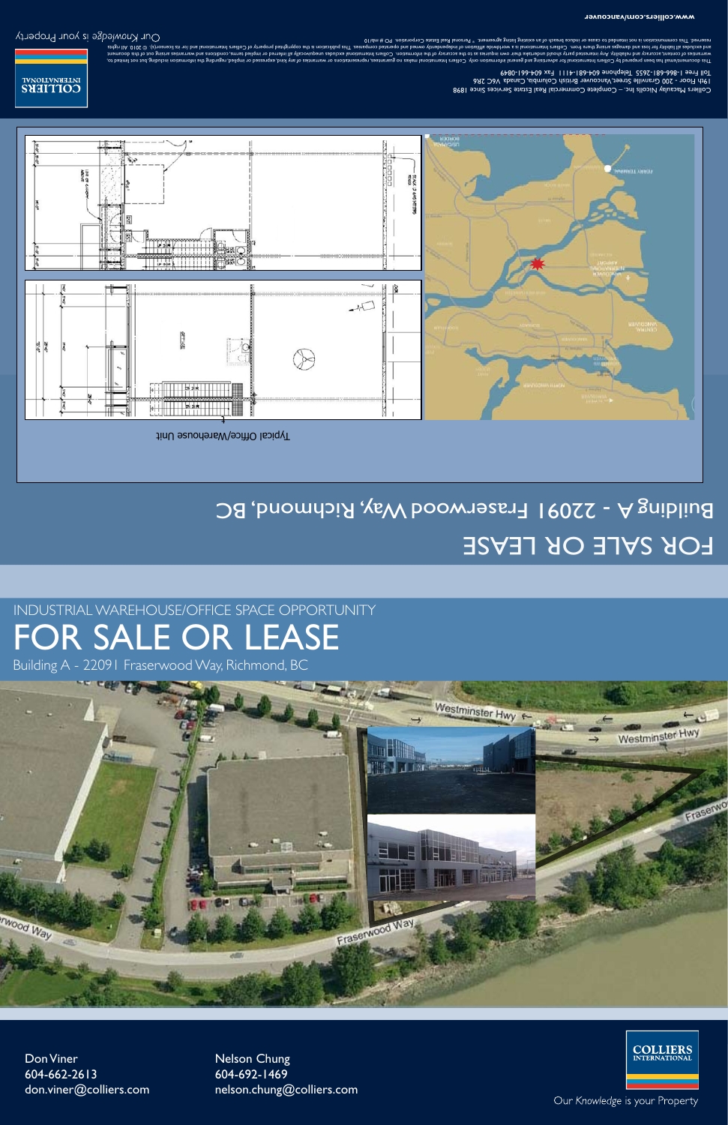## FOR SALE OR LEASE INDUSTRIAL WAREHOUSE/OFFICE SPACE OPPORTUNITY

Building A - 22091 Fraserwood Way, Richmond, BC



Don Viner 604-662-2613 don.viner@colliers.com Nelson Chung 604-692-1469 nelson.chung@colliers.com



Our Knowledge is your Property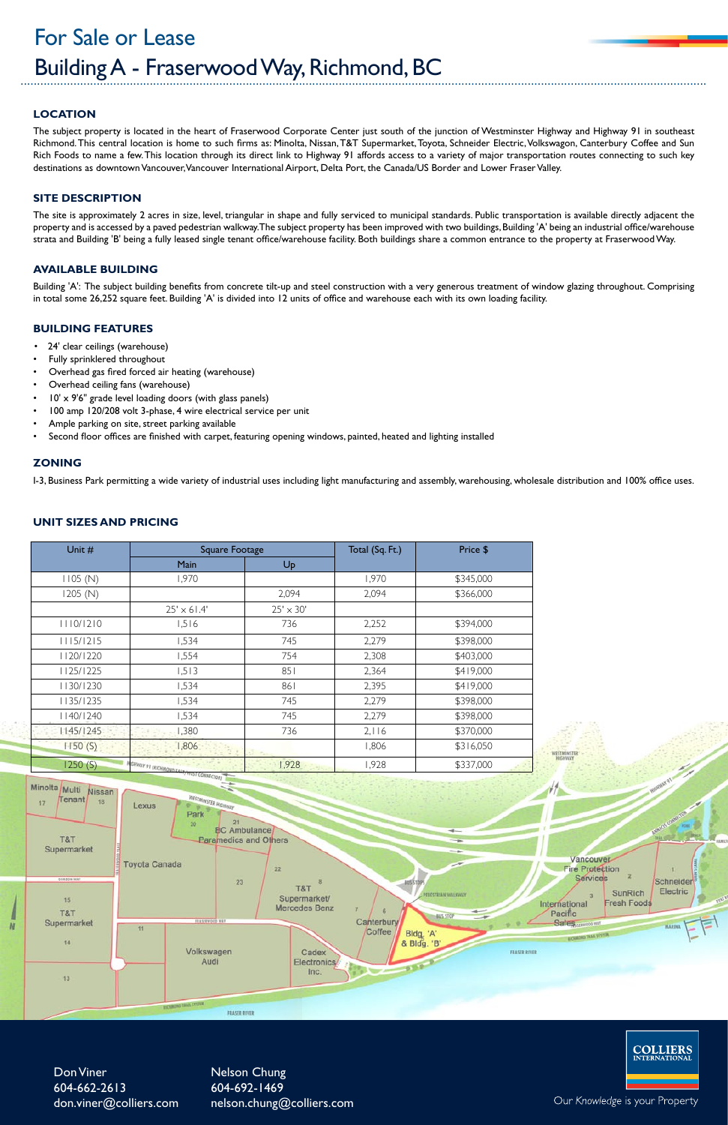### **Location**

The subject property is located in the heart of Fraserwood Corporate Center just south of the junction of Westminster Highway and Highway 91 in southeast Richmond. This central location is home to such firms as: Minolta, Nissan, T&T Supermarket, Toyota, Schneider Electric, Volkswagon, Canterbury Coffee and Sun Rich Foods to name a few. This location through its direct link to Highway 91 affords access to a variety of major transportation routes connecting to such key destinations as downtown Vancouver, Vancouver International Airport, Delta Port, the Canada/US Border and Lower Fraser Valley.

#### **SITE DESCRIPTION**

Building 'A': The subject building benefits from concrete tilt-up and steel construction with a very generous treatment of window glazing throughout. Comprising in total some 26,252 square feet. Building 'A' is divided into 12 units of office and warehouse each with its own loading facility.

- 24' clear ceilings (warehouse)
- Fully sprinklered throughout
- Overhead gas fired forced air heating (warehouse)
- Overhead ceiling fans (warehouse)
- $10' \times 9'6''$  grade level loading doors (with glass panels)
- 100 amp 120/208 volt 3-phase, 4 wire electrical service per unit
- Ample parking on site, street parking available
- Second floor offices are finished with carpet, featuring opening windows, painted, heated and lighting installed

The site is approximately 2 acres in size, level, triangular in shape and fully serviced to municipal standards. Public transportation is available directly adjacent the property and is accessed by a paved pedestrian walkway. The subject property has been improved with two buildings, Building 'A' being an industrial office/warehouse strata and Building 'B' being a fully leased single tenant office/warehouse facility. Both buildings share a common entrance to the property at Fraserwood Way.

#### **Available building**

### Building A - Fraserwood Way, Richmond, BC For Sale or Lease

#### **building Features**

#### **zoning**

I-3, Business Park permitting a wide variety of industrial uses including light manufacturing and assembly, warehousing, wholesale distribution and 100% office uses.

#### **unit sizes and pricing**

Don Viner 604-662-2613 don.viner@colliers.com Nelson Chung 604-692-1469 nelson.chung@colliers.com **COLLIERS**<br>INTERNATIONAL

Our Knowledge is your Property

| Unit #    | Square Footage                    |                  | Total (Sq. Ft.) | Price \$  |
|-----------|-----------------------------------|------------------|-----------------|-----------|
|           | Main                              | Up               |                 |           |
| 1105 (N)  | 1,970                             |                  | 1,970           | \$345,000 |
| 1205 (N)  |                                   | 2,094            | 2,094           | \$366,000 |
|           | $25' \times 61.4'$                | $25' \times 30'$ |                 |           |
| 1110/1210 | 1,516                             | 736              | 2,252           | \$394,000 |
| 1115/1215 | 1,534                             | 745              | 2,279           | \$398,000 |
| 1120/1220 | 1,554                             | 754              | 2,308           | \$403,000 |
| 1125/1225 | 1,513                             | 851              | 2,364           | \$419,000 |
| 1130/1230 | 1,534                             | 861              | 2,395           | \$419,000 |
| 1135/1235 | 1,534                             | 745              | 2,279           | \$398,000 |
| 1140/1240 | 1,534                             | 745              | 2,279           | \$398,000 |
| 45/   245 | 1,380                             | 736              | 2,116           | \$370,000 |
| 1150(S)   | 1,806                             |                  | 1,806           | \$316,050 |
| 1250(S)   | <b>ACHWAY 91 IRICHMONS FACE /</b> | 1,928            | 1,928           | \$337,000 |



Nissan Tenant

18

Minolta Multi

Lexus Park